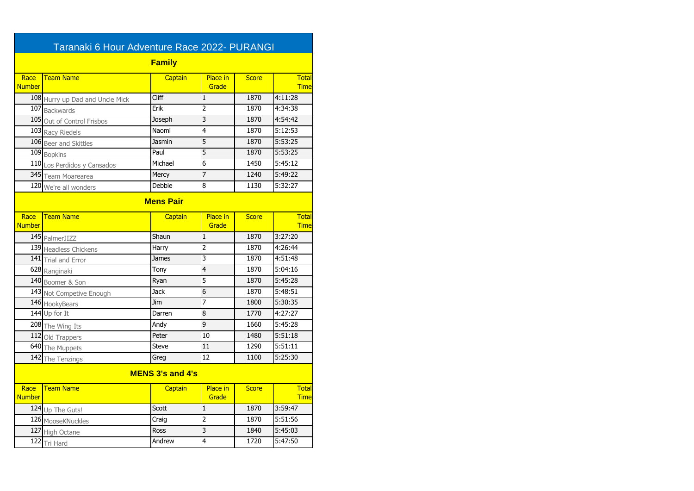| Taranaki 6 Hour Adventure Race 2022- PURANGI |                                 |              |                          |              |                             |  |
|----------------------------------------------|---------------------------------|--------------|--------------------------|--------------|-----------------------------|--|
| <b>Family</b>                                |                                 |              |                          |              |                             |  |
| Race<br><b>Number</b>                        | <b>Team Name</b>                | Captain      | Place in<br>Grade        | <b>Score</b> | <b>Total</b><br><b>Time</b> |  |
|                                              | 108 Hurry up Dad and Uncle Mick | Cliff        | $\mathbf{1}$             | 1870         | 4:11:28                     |  |
|                                              | 107 Backwards                   | Erik         | $\overline{2}$           | 1870         | 4:34:38                     |  |
|                                              | 105 Out of Control Frisbos      | Joseph       | $\overline{3}$           | 1870         | 4:54:42                     |  |
|                                              | 103 Racy Riedels                | Naomi        | 4                        | 1870         | 5:12:53                     |  |
|                                              | 106 Beer and Skittles           | Jasmin       | $\overline{5}$           | 1870         | 5:53:25                     |  |
|                                              | 109 Bopkins                     | Paul         | $\overline{5}$           | 1870         | 5:53:25                     |  |
|                                              | 110 Los Perdidos y Cansados     | Michael      | $\overline{6}$           | 1450         | 5:45:12                     |  |
|                                              | 345 Team Moarearea              | Mercy        | 7                        | 1240         | 5:49:22                     |  |
|                                              | 120 We're all wonders           | Debbie       | $\overline{8}$           | 1130         | 5:32:27                     |  |
| <b>Mens Pair</b>                             |                                 |              |                          |              |                             |  |
| Race<br><b>Number</b>                        | <b>Team Name</b>                | Captain      | <b>Place</b> in<br>Grade | <b>Score</b> | Total<br><b>Time</b>        |  |
|                                              | 145 PalmerJIZZ                  | Shaun        | $\mathbf{1}$             | 1870         | 3:27:20                     |  |
|                                              | 139 Headless Chickens           | Harry        | $\overline{2}$           | 1870         | 4:26:44                     |  |
|                                              | 141 Trial and Error             | <b>James</b> | 3                        | 1870         | 4:51:48                     |  |
|                                              | 628 Ranginaki                   | Tony         | 4                        | 1870         | 5:04:16                     |  |
|                                              | 140 Boomer & Son                | Ryan         | $\overline{5}$           | 1870         | 5:45:28                     |  |
|                                              | 143 Not Competive Enough        | <b>Jack</b>  | 6                        | 1870         | 5:48:51                     |  |
|                                              | 146 HookyBears                  | Jim          | 7                        | 1800         | 5:30:35                     |  |
|                                              | 144 Up for It                   | Darren       | $\bf{8}$                 | 1770         | 4:27:27                     |  |
|                                              | 208 The Wing Its                | Andy         | $\overline{9}$           | 1660         | 5:45:28                     |  |
|                                              | 112 Old Trappers                | Peter        | 10                       | 1480         | 5:51:18                     |  |
|                                              | 640 The Muppets                 | <b>Steve</b> | 11                       | 1290         | 5:51:11                     |  |
| 142                                          | The Tenzings                    | Greg         | 12                       | 1100         | 5:25:30                     |  |
| <b>MENS 3's and 4's</b>                      |                                 |              |                          |              |                             |  |
| Race<br><b>Number</b>                        | <b>Team Name</b>                | Captain      | <b>Place in</b><br>Grade | <b>Score</b> | <b>Total</b><br><b>Time</b> |  |
|                                              | 124 Up The Guts!                | Scott        | $\mathbf{1}$             | 1870         | 3:59:47                     |  |
|                                              | 126 MooseKNuckles               | Craig        | 2                        | 1870         | 5:51:56                     |  |
|                                              | 127 High Octane                 | <b>Ross</b>  | 3                        | 1840         | 5:45:03                     |  |
|                                              | 122 Tri Hard                    | Andrew       | 4                        | 1720         | 5:47:50                     |  |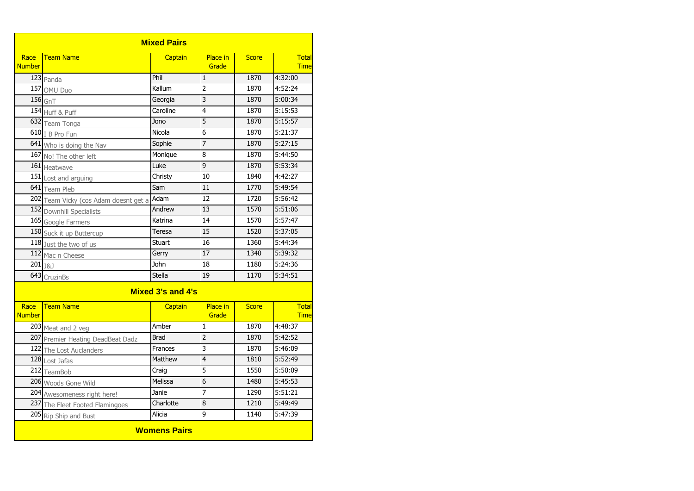| <b>Mixed Pairs</b>    |                                       |                |                          |              |                             |  |
|-----------------------|---------------------------------------|----------------|--------------------------|--------------|-----------------------------|--|
| Race<br><b>Number</b> | <b>Team Name</b>                      | Captain        | <b>Place in</b><br>Grade | <b>Score</b> | <b>Total</b><br><b>Time</b> |  |
|                       | 123 Panda                             | Phil           | $\mathbf 1$              | 1870         | 4:32:00                     |  |
|                       | 157 OMU Duo                           | Kallum         | $\overline{2}$           | 1870         | 4:52:24                     |  |
|                       | $156$ GnT                             | Georgia        | $\overline{3}$           | 1870         | 5:00:34                     |  |
|                       | 154 Huff & Puff                       | Caroline       | 4                        | 1870         | 5:15:53                     |  |
|                       | 632 Team Tonga                        | Jono           | 5                        | 1870         | 5:15:57                     |  |
|                       | 610 I B Pro Fun                       | Nicola         | 6                        | 1870         | 5:21:37                     |  |
|                       | 641 Who is doing the Nav              | Sophie         | 7                        | 1870         | 5:27:15                     |  |
| 167                   | No! The other left                    | Monique        | $\overline{8}$           | 1870         | 5:44:50                     |  |
| <b>161</b>            | Heatwave                              | Luke           | $\overline{9}$           | 1870         | 5:53:34                     |  |
|                       | 151 Lost and arguing                  | Christy        | 10                       | 1840         | 4:42:27                     |  |
|                       | 641 Team Pleb                         | Sam            | 11                       | 1770         | 5:49:54                     |  |
|                       | 202 Team Vicky (cos Adam doesnt get a | Adam           | $\overline{12}$          | 1720         | 5:56:42                     |  |
|                       | 152 Downhill Specialists              | Andrew         | 13                       | 1570         | 5:51:06                     |  |
|                       | 165 Google Farmers                    | Katrina        | 14                       | 1570         | 5:57:47                     |  |
|                       | 150 Suck it up Buttercup              | Teresa         | 15                       | 1520         | $\overline{5:}37:05$        |  |
|                       | 118 Just the two of us                | Stuart         | 16                       | 1360         | 5:44:34                     |  |
|                       | 112 Mac n Cheese                      | Gerry          | $\overline{17}$          | 1340         | 5:39:32                     |  |
| $201_{38J}$           |                                       | <b>John</b>    | 18                       | 1180         | 5:24:36                     |  |
| 643                   | CruzinBs                              | <b>Stella</b>  | 19                       | 1170         | 5:34:51                     |  |
| Mixed 3's and 4's     |                                       |                |                          |              |                             |  |
| Race<br><b>Number</b> | <b>Team Name</b>                      | Captain        | <b>Place in</b><br>Grade | <b>Score</b> | Total<br><b>Time</b>        |  |
|                       | 203 Meat and 2 veg                    | Amber          | $\overline{1}$           | 1870         | 4:48:37                     |  |
|                       | 207 Premier Heating DeadBeat Dadz     | <b>Brad</b>    | $\overline{2}$           | 1870         | 5:42:52                     |  |
|                       | 122 The Lost Auclanders               | <b>Frances</b> | $\overline{3}$           | 1870         | 5:46:09                     |  |
| 128                   | Lost Jafas                            | Matthew        | 4                        | 1810         | 5:52:49                     |  |
|                       | 212 TeamBob                           | Craig          | 5                        | 1550         | 5:50:09                     |  |
|                       | 206 Woods Gone Wild                   | Melissa        | 6                        | 1480         | 5:45:53                     |  |
|                       | 204 Awesomeness right here!           | Janie          | 7                        | 1290         | 5:51:21                     |  |
|                       | 237 The Fleet Footed Flamingoes       | Charlotte      | 8                        | 1210         | 5:49:49                     |  |
| 205                   | Rip Ship and Bust                     | Alicia         | 9                        | 1140         | 5:47:39                     |  |
| <b>Womens Pairs</b>   |                                       |                |                          |              |                             |  |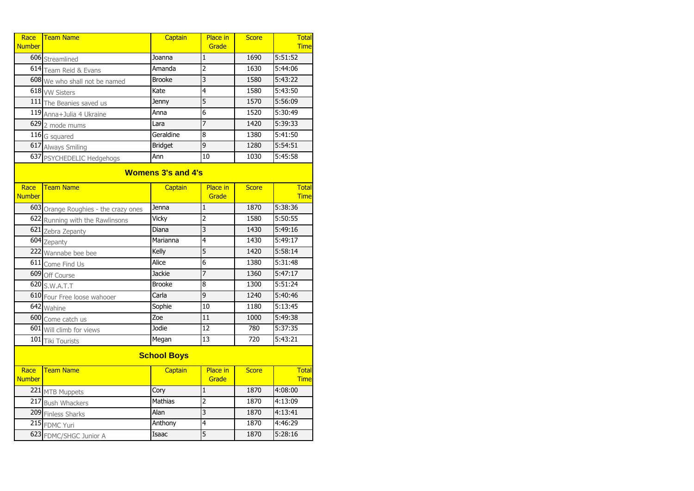| Race<br><b>Number</b>     | <b>Team Name</b>                     | Captain        | <b>Place in</b><br>Grade | <b>Score</b> | <b>Total</b><br><b>Time</b> |  |
|---------------------------|--------------------------------------|----------------|--------------------------|--------------|-----------------------------|--|
|                           | 606 Streamlined                      | Joanna         | $\mathbf{1}$             | 1690         | 5:51:52                     |  |
|                           | 614 Team Reid & Evans                | Amanda         | $\overline{2}$           | 1630         | 5:44:06                     |  |
|                           | 608 We who shall not be named        | <b>Brooke</b>  | 3                        | 1580         | 5:43:22                     |  |
|                           | 618 vw Sisters                       | Kate           | 4                        | 1580         | 5:43:50                     |  |
|                           | 111 The Beanies saved us             | Jenny          | 5                        | 1570         | 5:56:09                     |  |
|                           | 119 Anna+Julia 4 Ukraine             | Anna           | $\overline{6}$           | 1520         | 5:30:49                     |  |
|                           | 629 2 mode mums                      | Lara           | $\overline{7}$           | 1420         | 5:39:33                     |  |
|                           | 116 G squared                        | Geraldine      | $\overline{8}$           | 1380         | 5:41:50                     |  |
|                           | 617 Always Smiling                   | <b>Bridget</b> | $\overline{9}$           | 1280         | 5:54:51                     |  |
|                           | 637 PSYCHEDELIC Hedgehogs            | Ann            | 10                       | 1030         | 5:45:58                     |  |
| <b>Womens 3's and 4's</b> |                                      |                |                          |              |                             |  |
| Race<br><b>Number</b>     | <b>Team Name</b>                     | Captain        | Place in<br>Grade        | <b>Score</b> | <b>Total</b><br><b>Time</b> |  |
|                           | 603 Orange Roughies - the crazy ones | Jenna          | $\mathbf 1$              | 1870         | 5:38:36                     |  |
|                           | 622 Running with the Rawlinsons      | Vicky          | $\overline{2}$           | 1580         | 5:50:55                     |  |
|                           | 621 Zebra Zepanty                    | Diana          | $\overline{3}$           | 1430         | 5:49:16                     |  |
|                           | 604 Zepanty                          | Marianna       | 4                        | 1430         | 5:49:17                     |  |
| 222                       | Wannabe bee bee                      | Kelly          | $\overline{5}$           | 1420         | 5:58:14                     |  |
|                           | 611 Come Find Us                     | Alice          | $\overline{6}$           | 1380         | 5:31:48                     |  |
|                           | 609 Off Course                       | <b>Jackie</b>  | 7                        | 1360         | 5:47:17                     |  |
|                           | 620 S.W.A.T.T                        | <b>Brooke</b>  | $\overline{8}$           | 1300         | 5:51:24                     |  |
|                           | 610 Four Free loose wahooer          | Carla          | $\overline{9}$           | 1240         | 5:40:46                     |  |
|                           | 642 Wahine                           | Sophie         | 10                       | 1180         | 5:13:45                     |  |
|                           | 600 Come catch us                    | Zoe            | 11                       | 1000         | 5:49:38                     |  |
|                           | 601 Will climb for views             | Jodie          | $\overline{12}$          | 780          | 5:37:35                     |  |
| 101                       | <b>Tiki Tourists</b>                 | Megan          | 13                       | 720          | 5:43:21                     |  |
| <b>School Boys</b>        |                                      |                |                          |              |                             |  |
| Race<br><b>Number</b>     | <b>Team Name</b>                     | Captain        | Place in<br>Grade        | <b>Score</b> | <b>Total</b><br><b>Time</b> |  |
|                           | 221 MTB Muppets                      | Cory           | $\overline{1}$           | 1870         | 4:08:00                     |  |
|                           | 217 Bush Whackers                    | <b>Mathias</b> | $\overline{2}$           | 1870         | 4:13:09                     |  |
|                           | 209 Finless Sharks                   | Alan           | $\overline{3}$           | 1870         | 4:13:41                     |  |
|                           | 215 FDMC Yuri                        | Anthony        | 4                        | 1870         | 4:46:29                     |  |
|                           | 623 FDMC/SHGC Junior A               | Isaac          | $\overline{5}$           | 1870         | 5:28:16                     |  |